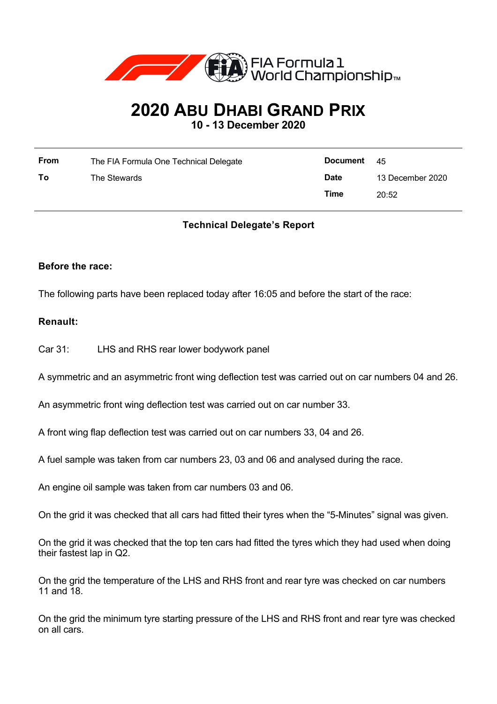

# **2020 ABU DHABI GRAND PRIX**

**10 - 13 December 2020**

| <b>From</b> | The FIA Formula One Technical Delegate | Document 45 |                  |
|-------------|----------------------------------------|-------------|------------------|
| To          | The Stewards                           | <b>Date</b> | 13 December 2020 |
|             |                                        | Time        | 20:52            |

## **Technical Delegate's Report**

### **Before the race:**

The following parts have been replaced today after 16:05 and before the start of the race:

### **Renault:**

Car 31: LHS and RHS rear lower bodywork panel

A symmetric and an asymmetric front wing deflection test was carried out on car numbers 04 and 26.

An asymmetric front wing deflection test was carried out on car number 33.

A front wing flap deflection test was carried out on car numbers 33, 04 and 26.

A fuel sample was taken from car numbers 23, 03 and 06 and analysed during the race.

An engine oil sample was taken from car numbers 03 and 06.

On the grid it was checked that all cars had fitted their tyres when the "5-Minutes" signal was given.

On the grid it was checked that the top ten cars had fitted the tyres which they had used when doing their fastest lap in Q2.

On the grid the temperature of the LHS and RHS front and rear tyre was checked on car numbers 11 and 18.

On the grid the minimum tyre starting pressure of the LHS and RHS front and rear tyre was checked on all cars.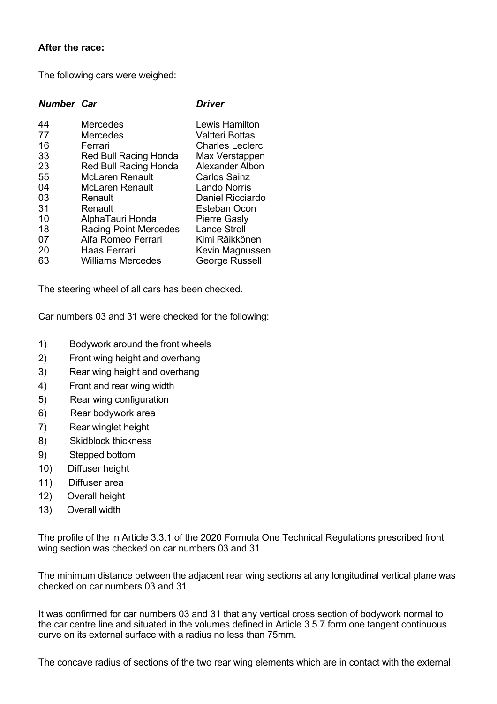### **After the race:**

The following cars were weighed:

#### *Number Car Driver*

| 44 | Mercedes                     | Lewis Hamilton         |
|----|------------------------------|------------------------|
| 77 | <b>Mercedes</b>              | <b>Valtteri Bottas</b> |
| 16 | Ferrari                      | <b>Charles Leclerc</b> |
| 33 | Red Bull Racing Honda        | Max Verstappen         |
| 23 | Red Bull Racing Honda        | Alexander Albon        |
| 55 | <b>McLaren Renault</b>       | <b>Carlos Sainz</b>    |
| 04 | <b>McLaren Renault</b>       | <b>Lando Norris</b>    |
| 03 | Renault                      | Daniel Ricciardo       |
| 31 | Renault                      | Esteban Ocon           |
| 10 | AlphaTauri Honda             | <b>Pierre Gasly</b>    |
| 18 | <b>Racing Point Mercedes</b> | <b>Lance Stroll</b>    |
| 07 | Alfa Romeo Ferrari           | Kimi Räikkönen         |
| 20 | Haas Ferrari                 | Kevin Magnussen        |
| 63 | <b>Williams Mercedes</b>     | George Russell         |

The steering wheel of all cars has been checked.

Car numbers 03 and 31 were checked for the following:

- 1) Bodywork around the front wheels
- 2) Front wing height and overhang
- 3) Rear wing height and overhang
- 4) Front and rear wing width
- 5) Rear wing configuration
- 6) Rear bodywork area
- 7) Rear winglet height
- 8) Skidblock thickness
- 9) Stepped bottom
- 10) Diffuser height
- 11) Diffuser area
- 12) Overall height
- 13) Overall width

The profile of the in Article 3.3.1 of the 2020 Formula One Technical Regulations prescribed front wing section was checked on car numbers 03 and 31.

The minimum distance between the adjacent rear wing sections at any longitudinal vertical plane was checked on car numbers 03 and 31

It was confirmed for car numbers 03 and 31 that any vertical cross section of bodywork normal to the car centre line and situated in the volumes defined in Article 3.5.7 form one tangent continuous curve on its external surface with a radius no less than 75mm.

The concave radius of sections of the two rear wing elements which are in contact with the external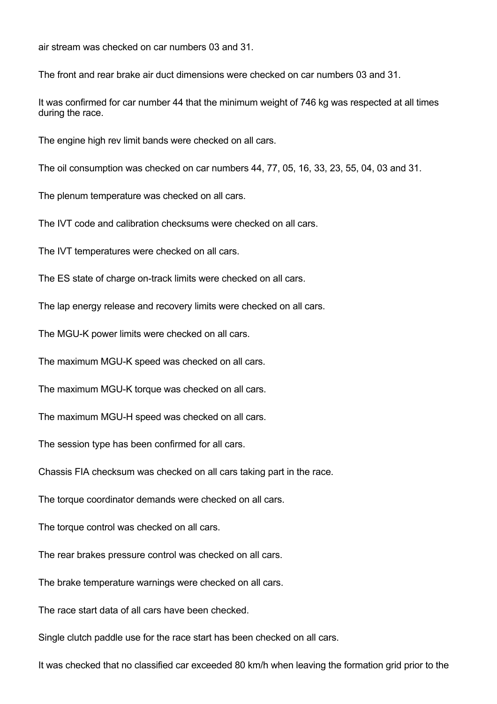air stream was checked on car numbers 03 and 31.

The front and rear brake air duct dimensions were checked on car numbers 03 and 31.

It was confirmed for car number 44 that the minimum weight of 746 kg was respected at all times during the race.

The engine high rev limit bands were checked on all cars.

The oil consumption was checked on car numbers 44, 77, 05, 16, 33, 23, 55, 04, 03 and 31.

The plenum temperature was checked on all cars.

The IVT code and calibration checksums were checked on all cars.

The IVT temperatures were checked on all cars.

The ES state of charge on-track limits were checked on all cars.

The lap energy release and recovery limits were checked on all cars.

The MGU-K power limits were checked on all cars.

The maximum MGU-K speed was checked on all cars.

The maximum MGU-K torque was checked on all cars.

The maximum MGU-H speed was checked on all cars.

The session type has been confirmed for all cars.

Chassis FIA checksum was checked on all cars taking part in the race.

The torque coordinator demands were checked on all cars.

The torque control was checked on all cars.

The rear brakes pressure control was checked on all cars.

The brake temperature warnings were checked on all cars.

The race start data of all cars have been checked.

Single clutch paddle use for the race start has been checked on all cars.

It was checked that no classified car exceeded 80 km/h when leaving the formation grid prior to the